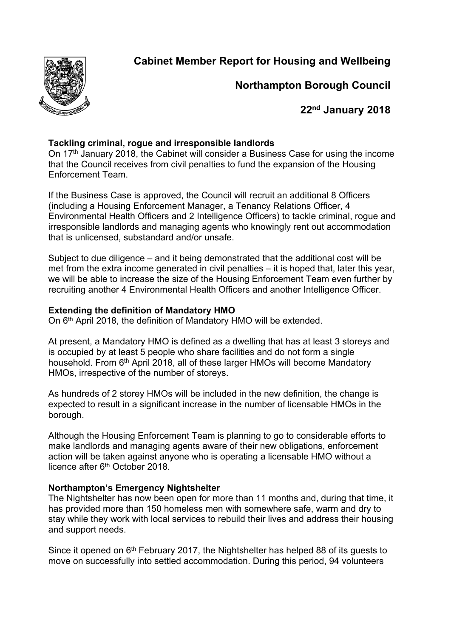**Cabinet Member Report for Housing and Wellbeing**



# **Northampton Borough Council**

**22nd January 2018**

# **Tackling criminal, rogue and irresponsible landlords**

On 17<sup>th</sup> January 2018, the Cabinet will consider a Business Case for using the income that the Council receives from civil penalties to fund the expansion of the Housing Enforcement Team.

If the Business Case is approved, the Council will recruit an additional 8 Officers (including a Housing Enforcement Manager, a Tenancy Relations Officer, 4 Environmental Health Officers and 2 Intelligence Officers) to tackle criminal, rogue and irresponsible landlords and managing agents who knowingly rent out accommodation that is unlicensed, substandard and/or unsafe.

Subject to due diligence – and it being demonstrated that the additional cost will be met from the extra income generated in civil penalties – it is hoped that, later this year, we will be able to increase the size of the Housing Enforcement Team even further by recruiting another 4 Environmental Health Officers and another Intelligence Officer.

# **Extending the definition of Mandatory HMO**

On 6<sup>th</sup> April 2018, the definition of Mandatory HMO will be extended.

At present, a Mandatory HMO is defined as a dwelling that has at least 3 storeys and is occupied by at least 5 people who share facilities and do not form a single household. From 6<sup>th</sup> April 2018, all of these larger HMOs will become Mandatory HMOs, irrespective of the number of storeys.

As hundreds of 2 storey HMOs will be included in the new definition, the change is expected to result in a significant increase in the number of licensable HMOs in the borough.

Although the Housing Enforcement Team is planning to go to considerable efforts to make landlords and managing agents aware of their new obligations, enforcement action will be taken against anyone who is operating a licensable HMO without a licence after 6<sup>th</sup> October 2018.

# **Northampton's Emergency Nightshelter**

The Nightshelter has now been open for more than 11 months and, during that time, it has provided more than 150 homeless men with somewhere safe, warm and dry to stay while they work with local services to rebuild their lives and address their housing and support needs.

Since it opened on 6<sup>th</sup> February 2017, the Nightshelter has helped 88 of its guests to move on successfully into settled accommodation. During this period, 94 volunteers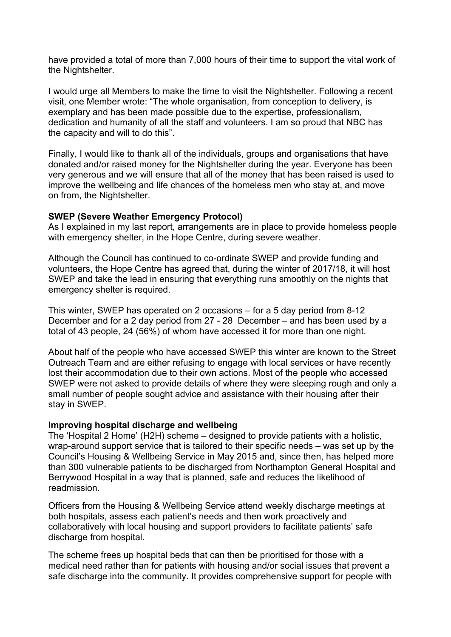have provided a total of more than 7,000 hours of their time to support the vital work of the Nightshelter.

I would urge all Members to make the time to visit the Nightshelter. Following a recent visit, one Member wrote: "The whole organisation, from conception to delivery, is exemplary and has been made possible due to the expertise, professionalism, dedication and humanity of all the staff and volunteers. I am so proud that NBC has the capacity and will to do this".

Finally, I would like to thank all of the individuals, groups and organisations that have donated and/or raised money for the Nightshelter during the year. Everyone has been very generous and we will ensure that all of the money that has been raised is used to improve the wellbeing and life chances of the homeless men who stay at, and move on from, the Nightshelter.

## **SWEP (Severe Weather Emergency Protocol)**

As I explained in my last report, arrangements are in place to provide homeless people with emergency shelter, in the Hope Centre, during severe weather.

Although the Council has continued to co-ordinate SWEP and provide funding and volunteers, the Hope Centre has agreed that, during the winter of 2017/18, it will host SWEP and take the lead in ensuring that everything runs smoothly on the nights that emergency shelter is required.

This winter, SWEP has operated on 2 occasions – for a 5 day period from 8-12 December and for a 2 day period from 27 - 28 December – and has been used by a total of 43 people, 24 (56%) of whom have accessed it for more than one night.

About half of the people who have accessed SWEP this winter are known to the Street Outreach Team and are either refusing to engage with local services or have recently lost their accommodation due to their own actions. Most of the people who accessed SWEP were not asked to provide details of where they were sleeping rough and only a small number of people sought advice and assistance with their housing after their stay in SWEP.

#### **Improving hospital discharge and wellbeing**

The 'Hospital 2 Home' (H2H) scheme – designed to provide patients with a holistic, wrap-around support service that is tailored to their specific needs – was set up by the Council's Housing & Wellbeing Service in May 2015 and, since then, has helped more than 300 vulnerable patients to be discharged from Northampton General Hospital and Berrywood Hospital in a way that is planned, safe and reduces the likelihood of readmission.

Officers from the Housing & Wellbeing Service attend weekly discharge meetings at both hospitals, assess each patient's needs and then work proactively and collaboratively with local housing and support providers to facilitate patients' safe discharge from hospital.

The scheme frees up hospital beds that can then be prioritised for those with a medical need rather than for patients with housing and/or social issues that prevent a safe discharge into the community. It provides comprehensive support for people with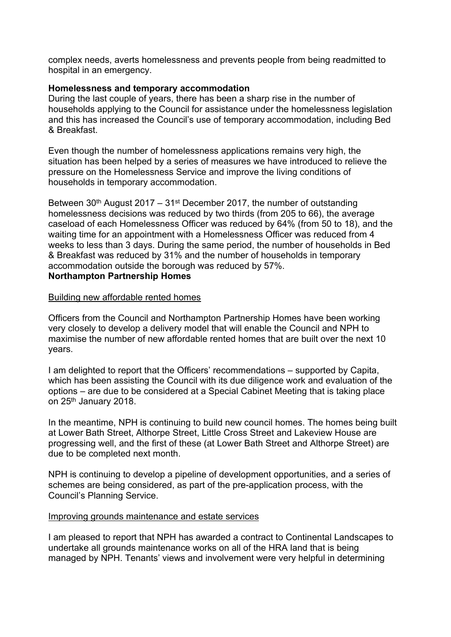complex needs, averts homelessness and prevents people from being readmitted to hospital in an emergency.

## **Homelessness and temporary accommodation**

During the last couple of years, there has been a sharp rise in the number of households applying to the Council for assistance under the homelessness legislation and this has increased the Council's use of temporary accommodation, including Bed & Breakfast.

Even though the number of homelessness applications remains very high, the situation has been helped by a series of measures we have introduced to relieve the pressure on the Homelessness Service and improve the living conditions of households in temporary accommodation.

Between  $30<sup>th</sup>$  August 2017 –  $31<sup>st</sup>$  December 2017, the number of outstanding homelessness decisions was reduced by two thirds (from 205 to 66), the average caseload of each Homelessness Officer was reduced by 64% (from 50 to 18), and the waiting time for an appointment with a Homelessness Officer was reduced from 4 weeks to less than 3 days. During the same period, the number of households in Bed & Breakfast was reduced by 31% and the number of households in temporary accommodation outside the borough was reduced by 57%.

# **Northampton Partnership Homes**

### Building new affordable rented homes

Officers from the Council and Northampton Partnership Homes have been working very closely to develop a delivery model that will enable the Council and NPH to maximise the number of new affordable rented homes that are built over the next 10 years.

I am delighted to report that the Officers' recommendations – supported by Capita, which has been assisting the Council with its due diligence work and evaluation of the options – are due to be considered at a Special Cabinet Meeting that is taking place on 25th January 2018.

In the meantime, NPH is continuing to build new council homes. The homes being built at Lower Bath Street, Althorpe Street, Little Cross Street and Lakeview House are progressing well, and the first of these (at Lower Bath Street and Althorpe Street) are due to be completed next month.

NPH is continuing to develop a pipeline of development opportunities, and a series of schemes are being considered, as part of the pre-application process, with the Council's Planning Service.

#### Improving grounds maintenance and estate services

I am pleased to report that NPH has awarded a contract to Continental Landscapes to undertake all grounds maintenance works on all of the HRA land that is being managed by NPH. Tenants' views and involvement were very helpful in determining